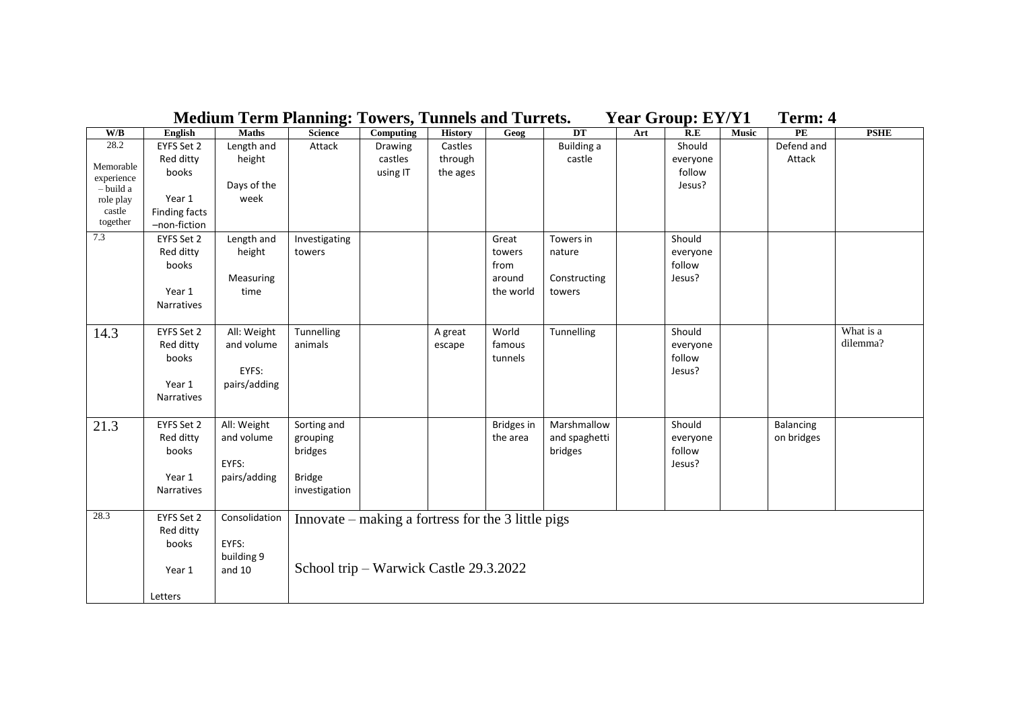|                         |                      |               |                                                    | <b>Medium Term Planning: Towers, Tunnels and Turrets.</b> |                |                   |               | <b>Year Group: EY/Y1</b> |                  |              | Term: 4       |             |
|-------------------------|----------------------|---------------|----------------------------------------------------|-----------------------------------------------------------|----------------|-------------------|---------------|--------------------------|------------------|--------------|---------------|-------------|
| $\mathbf{W}/\mathbf{B}$ | English              | <b>Maths</b>  | <b>Science</b>                                     | <b>Computing</b>                                          | <b>History</b> | Geog              | DT            | Art                      | R.E              | <b>Music</b> | $\mathbf{PE}$ | <b>PSHE</b> |
| 28.2                    | EYFS Set 2           | Length and    | Attack                                             | Drawing                                                   | Castles        |                   | Building a    |                          | Should           |              | Defend and    |             |
| Memorable               | Red ditty            | height        |                                                    | castles                                                   | through        |                   | castle        |                          | everyone         |              | Attack        |             |
| experience              | books                |               |                                                    | using IT                                                  | the ages       |                   |               |                          | follow           |              |               |             |
| $-$ build a             |                      | Days of the   |                                                    |                                                           |                |                   |               |                          | Jesus?           |              |               |             |
| role play               | Year 1               | week          |                                                    |                                                           |                |                   |               |                          |                  |              |               |             |
| castle                  | Finding facts        |               |                                                    |                                                           |                |                   |               |                          |                  |              |               |             |
| together                | -non-fiction         |               |                                                    |                                                           |                |                   |               |                          |                  |              |               |             |
| 7.3                     | EYFS Set 2           | Length and    | Investigating                                      |                                                           |                | Great             | Towers in     |                          | Should           |              |               |             |
|                         | Red ditty            | height        | towers                                             |                                                           |                | towers            | nature        |                          | everyone         |              |               |             |
|                         | books                |               |                                                    |                                                           |                | from              |               |                          | follow           |              |               |             |
|                         |                      | Measuring     |                                                    |                                                           |                | around            | Constructing  |                          | Jesus?           |              |               |             |
|                         | Year 1<br>Narratives | time          |                                                    |                                                           |                | the world         | towers        |                          |                  |              |               |             |
|                         |                      |               |                                                    |                                                           |                |                   |               |                          |                  |              |               |             |
| 14.3                    | EYFS Set 2           | All: Weight   | Tunnelling                                         |                                                           | A great        | World             | Tunnelling    |                          | Should           |              |               | What is a   |
|                         | Red ditty            | and volume    | animals                                            |                                                           | escape         | famous            |               |                          | everyone         |              |               | dilemma?    |
|                         | books                |               |                                                    |                                                           |                | tunnels           |               |                          | follow           |              |               |             |
|                         |                      | EYFS:         |                                                    |                                                           |                |                   |               |                          | Jesus?           |              |               |             |
|                         | Year 1               | pairs/adding  |                                                    |                                                           |                |                   |               |                          |                  |              |               |             |
|                         | <b>Narratives</b>    |               |                                                    |                                                           |                |                   |               |                          |                  |              |               |             |
|                         |                      |               |                                                    |                                                           |                |                   |               |                          |                  |              |               |             |
| 21.3                    | EYFS Set 2           | All: Weight   | Sorting and                                        |                                                           |                | <b>Bridges</b> in | Marshmallow   |                          | Should           |              | Balancing     |             |
|                         | Red ditty            | and volume    | grouping                                           |                                                           |                | the area          | and spaghetti |                          | everyone         |              | on bridges    |             |
|                         | books                | EYFS:         | bridges                                            |                                                           |                |                   | bridges       |                          | follow<br>Jesus? |              |               |             |
|                         | Year 1               | pairs/adding  | <b>Bridge</b>                                      |                                                           |                |                   |               |                          |                  |              |               |             |
|                         | <b>Narratives</b>    |               | investigation                                      |                                                           |                |                   |               |                          |                  |              |               |             |
|                         |                      |               |                                                    |                                                           |                |                   |               |                          |                  |              |               |             |
| 28.3                    | EYFS Set 2           | Consolidation | Innovate – making a fortress for the 3 little pigs |                                                           |                |                   |               |                          |                  |              |               |             |
|                         | Red ditty            |               |                                                    |                                                           |                |                   |               |                          |                  |              |               |             |
|                         | books                | EYFS:         |                                                    |                                                           |                |                   |               |                          |                  |              |               |             |
|                         |                      | building 9    |                                                    |                                                           |                |                   |               |                          |                  |              |               |             |
|                         | Year 1               | and 10        | School trip – Warwick Castle 29.3.2022             |                                                           |                |                   |               |                          |                  |              |               |             |
|                         |                      |               |                                                    |                                                           |                |                   |               |                          |                  |              |               |             |
|                         | Letters              |               |                                                    |                                                           |                |                   |               |                          |                  |              |               |             |